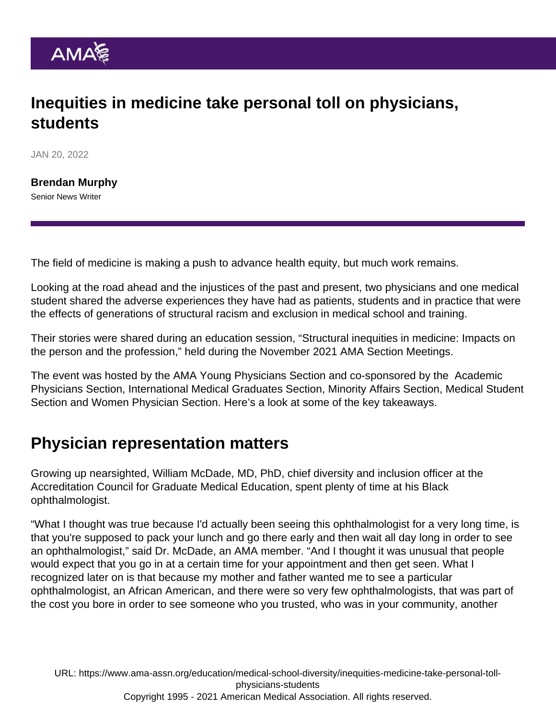## Inequities in medicine take personal toll on physicians, **students**

JAN 20, 2022

[Brendan Murphy](https://www.ama-assn.org/news-leadership-viewpoints/authors-news-leadership-viewpoints/brendan-murphy) Senior News Writer

The field of medicine is making a push to advance health equity, but much work remains.

Looking at the road ahead and the injustices of the past and present, two physicians and one medical student shared the adverse experiences they have had as patients, students and in practice that were the effects of generations of structural racism and exclusion in medical school and training.

Their stories were shared during an education session, "[Structural inequities in medicine: Impacts on](https://youtu.be/7GztiT9gs94) [the person and the profession,](https://youtu.be/7GztiT9gs94)" held during the [November 2021 AMA Section Meetings](https://www.ama-assn.org/member-groups-sections/section-meetings/november-2021-ama-sections-meetings).

The event was hosted by the [AMA Young Physicians Section](https://www.ama-assn.org/member-groups-sections/young-physicians) and co-sponsored by [the Academic](https://www.ama-assn.org/member-groups-sections/academic-physicians/about-academic-physicians-section-aps#:~:text=The AMA Academic Physicians Section,House of Delegates (HOD).) [Physicians Section,](https://www.ama-assn.org/member-groups-sections/academic-physicians/about-academic-physicians-section-aps#:~:text=The AMA Academic Physicians Section,House of Delegates (HOD).) [International Medical Graduates Section,](https://www.ama-assn.org/member-groups-sections/international-medical-graduates) [Minority Affairs Section](https://www.ama-assn.org/member-groups-sections/minority-affairs), [Medical Student](https://www.ama-assn.org/member-groups-sections/medical-students) [Section](https://www.ama-assn.org/member-groups-sections/medical-students) and [Women Physician Section](https://www.ama-assn.org/member-groups-sections/women-physicians/about-women-physicians-section-wps). Here's a look at some of the key takeaways.

## Physician representation matters

Growing up nearsighted, William McDade, MD, PhD, chief diversity and inclusion officer at the Accreditation Council for Graduate Medical Education, spent plenty of time at his Black ophthalmologist.

"What I thought was true because I'd actually been seeing this ophthalmologist for a very long time, is that you're supposed to pack your lunch and go there early and then wait all day long in order to see an ophthalmologist," said Dr. McDade, an AMA member. "And I thought it was unusual that people would expect that you go in at a certain time for your appointment and then get seen. What I recognized later on is that because my mother and father wanted me to see a particular ophthalmologist, an African American, and there were so very few ophthalmologists, that was part of the cost you bore in order to see someone who you trusted, who was in your community, another

URL: [https://www.ama-assn.org/education/medical-school-diversity/inequities-medicine-take-personal-toll](https://www.ama-assn.org/education/medical-school-diversity/inequities-medicine-take-personal-toll-physicians-students)[physicians-students](https://www.ama-assn.org/education/medical-school-diversity/inequities-medicine-take-personal-toll-physicians-students) Copyright 1995 - 2021 American Medical Association. All rights reserved.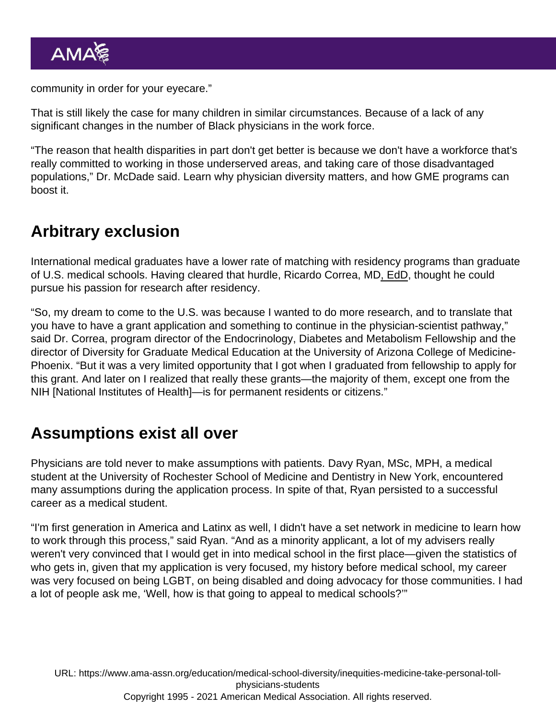community in order for your eyecare."

That is still likely the case for many children in similar circumstances. Because of a lack of any significant changes in the number of Black physicians in the work force.

"The reason that health disparities in part don't get better is because we don't have a workforce that's really committed to working in those underserved areas, and taking care of those disadvantaged populations," Dr. McDade said. Learn [why physician diversity matters, and how GME programs can](https://www.ama-assn.org/education/medical-school-diversity/why-physician-diversity-matters-and-how-gme-programs-can-boost) [boost it.](https://www.ama-assn.org/education/medical-school-diversity/why-physician-diversity-matters-and-how-gme-programs-can-boost)

#### Arbitrary exclusion

International medical graduates have a lower rate of matching with residency programs than graduate of U.S. medical schools. Having cleared that hurdle, [Ricardo Correa, MD](https://www.ama-assn.org/about/leadership/qa-latinx-endocrinologist-works-make-medicine-more-diverse), EdD, thought he could pursue his passion for research after residency.

"So, my dream to come to the U.S. was because I wanted to do more research, and to translate that you have to have a grant application and something to continue in the physician-scientist pathway," said Dr. Correa, program director of the Endocrinology, Diabetes and Metabolism Fellowship and the director of Diversity for Graduate Medical Education at the University of Arizona College of Medicine-Phoenix. "But it was a very limited opportunity that I got when I graduated from fellowship to apply for this grant. And later on I realized that really these grants—the majority of them, except one from the NIH [National Institutes of Health]—is for permanent residents or citizens."

## Assumptions exist all over

Physicians are told never to make assumptions with patients. Davy Ryan, MSc, MPH, a medical student at the University of Rochester School of Medicine and Dentistry in New York, encountered many assumptions during the application process. In spite of that, Ryan persisted to a successful career as a medical student.

"I'm first generation in America and Latinx as well, I didn't have a set network in medicine to learn how to work through this process," said Ryan. "And as a minority applicant, a lot of my advisers really weren't very convinced that I would get in into medical school in the first place—given the statistics of who gets in, given that my application is very focused, my history before medical school, my career was very focused on being LGBT, on being disabled and doing advocacy for those communities. I had a lot of people ask me, 'Well, how is that going to appeal to medical schools?'"

URL: [https://www.ama-assn.org/education/medical-school-diversity/inequities-medicine-take-personal-toll](https://www.ama-assn.org/education/medical-school-diversity/inequities-medicine-take-personal-toll-physicians-students)[physicians-students](https://www.ama-assn.org/education/medical-school-diversity/inequities-medicine-take-personal-toll-physicians-students) Copyright 1995 - 2021 American Medical Association. All rights reserved.